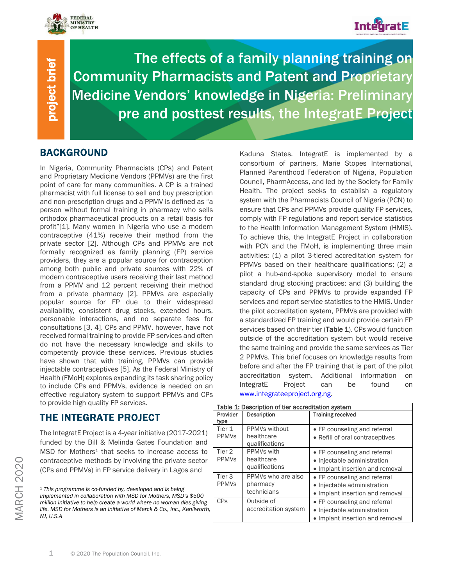



٦

project brief project brief

The effects of a family planning training on Community Pharmacists and Patent and Proprietary Medicine Vendors' knowledge in Nigeria: Preliminary pre and posttest results, the IntegratE Project

## BACKGROUND

In Nigeria, Community Pharmacists (CPs) and Patent and Proprietary Medicine Vendors (PPMVs) are the first point of care for many communities. A CP is a trained pharmacist with full license to sell and buy prescription and non-prescription drugs and a PPMV is defined as "a person without formal training in pharmacy who sells orthodox pharmaceutical products on a retail basis for profit"[1]. Many women in Nigeria who use a modern contraceptive (41%) receive their method from the private sector [2]. Although CPs and PPMVs are not formally recognized as family planning (FP) service providers, they are a popular source for contraception among both public and private sources with 22% of modern contraceptive users receiving their last method from a PPMV and 12 percent receiving their method from a private pharmacy [2]. PPMVs are especially popular source for FP due to their widespread availability, consistent drug stocks, extended hours, personable interactions, and no separate fees for consultations [3, 4]. CPs and PPMV, however, have not received formal training to provide FP services and often do not have the necessary knowledge and skills to competently provide these services. Previous studies have shown that with training, PPMVs can provide injectable contraceptives [5]. As the Federal Ministry of Health (FMoH) explores expanding its task sharing policy to include CPs and PPMVs, evidence is needed on an effective regulatory system to support PPMVs and CPs to provide high quality FP services.

# THE INTEGRATE PROJECT

The IntegratE Project is a 4-year initiative (2017-2021) funded by the Bill & Melinda Gates Foundation and MSD for Mothers<sup>1</sup> that seeks to increase access to contraceptive methods by involving the private sector (CPs and PPMVs) in FP service delivery in Lagos and

Kaduna States. IntegratE is implemented by a consortium of partners, Marie Stopes International, Planned Parenthood Federation of Nigeria, Population Council, PharmAccess, and led by the Society for Family Health. The project seeks to establish a regulatory system with the Pharmacists Council of Nigeria (PCN) to ensure that CPs and PPMVs provide quality FP services, comply with FP regulations and report service statistics to the Health Information Management System (HMIS). To achieve this, the IntegratE Project in collaboration with PCN and the FMoH, is implementing three main activities: (1) a pilot 3-tiered accreditation system for PPMVs based on their healthcare qualifications; (2) a pilot a hub-and-spoke supervisory model to ensure standard drug stocking practices; and (3) building the capacity of CPs and PPMVs to provide expanded FP services and report service statistics to the HMIS. Under the pilot accreditation system, PPMVs are provided with a standardized FP training and would provide certain FP services based on their tier (Table 1). CPs would function outside of the accreditation system but would receive the same training and provide the same services as Tier 2 PPMVs. This brief focuses on knowledge results from before and after the FP training that is part of the pilot accreditation system. Additional information on IntegratE Project can be found on [www.integrateeproject.org.ng.](http://www.integrateeproject.org.ng/)

| Table 1. Description of the accreditation system |                                               |                                                                                                |  |  |  |
|--------------------------------------------------|-----------------------------------------------|------------------------------------------------------------------------------------------------|--|--|--|
| Provider                                         | <b>Description</b>                            | <b>Training received</b>                                                                       |  |  |  |
| type                                             |                                               |                                                                                                |  |  |  |
| Tier 1<br><b>PPMVs</b>                           | PPMVs without<br>healthcare<br>qualifications | • FP counseling and referral<br>• Refill of oral contraceptives                                |  |  |  |
| Tier 2<br><b>PPMV<sub>S</sub></b>                | PPMVs with<br>healthcare<br>qualifications    | • FP counseling and referral<br>• Injectable administration<br>• Implant insertion and removal |  |  |  |
| Tier 3<br><b>PPMVs</b>                           | PPMVs who are also<br>pharmacy<br>technicians | • FP counseling and referral<br>• Injectable administration<br>• Implant insertion and removal |  |  |  |
| <b>CP<sub>S</sub></b>                            | Outside of<br>accreditation system            | • FP counseling and referral<br>• Injectable administration<br>• Implant insertion and removal |  |  |  |

| Table 1: Description of tier accreditation system |                                               |                                                                                                                               |  |  |  |
|---------------------------------------------------|-----------------------------------------------|-------------------------------------------------------------------------------------------------------------------------------|--|--|--|
| Provider<br>type                                  | <b>Description</b>                            | <b>Training received</b>                                                                                                      |  |  |  |
| Tier 1<br><b>PPMVs</b>                            | PPMVs without<br>healthcare<br>qualifications | • FP counseling and referral<br>• Refill of oral contraceptives                                                               |  |  |  |
| Tier 2<br><b>PPMVs</b>                            | PPMVs with<br>healthcare<br>qualifications    | • FP counseling and referral<br>• Injectable administration<br>and the second that the second theory is the second three con- |  |  |  |

<sup>1</sup> *This programme is co-funded by, developed and is being implemented in collaboration with MSD for Mothers, MSD's \$500 million initiative to help create a world where no woman dies giving life. MSD for Mothers is an initiative of Merck & Co., Inc., Kenilworth, NJ, U.S.A*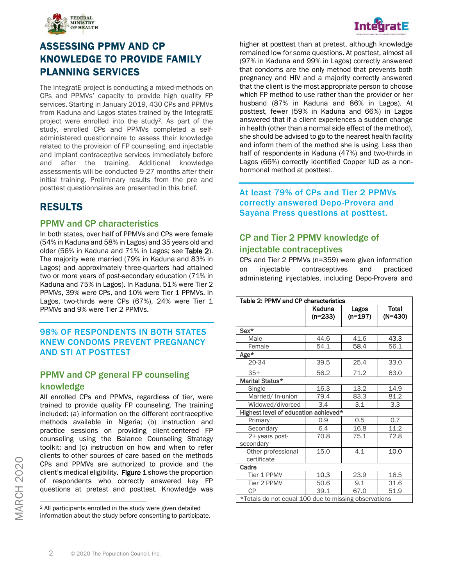

# ASSESSING PPMV AND CP KNOWLEDGE TO PROVIDE FAMILY PLANNING SERVICES

The IntegratE project is conducting a mixed-methods on CPs and PPMVs' capacity to provide high quality FP services. Starting in January 2019, 430 CPs and PPMVs from Kaduna and Lagos states trained by the IntegratE project were enrolled into the study2. As part of the study, enrolled CPs and PPMVs completed a selfadministered questionnaire to assess their knowledge related to the provision of FP counseling, and injectable and implant contraceptive services immediately before and after the training. Additional knowledge assessments will be conducted 9-27 months after their initial training. Preliminary results from the pre and posttest questionnaires are presented in this brief.

## RESULTS

#### PPMV and CP characteristics

In both states, over half of PPMVs and CPs were female (54% in Kaduna and 58% in Lagos) and 35 years old and older (56% in Kaduna and 71% in Lagos; see Table 2). The majority were married (79% in Kaduna and 83% in Lagos) and approximately three-quarters had attained two or more years of post-secondary education (71% in Kaduna and 75% in Lagos). In Kaduna, 51% were Tier 2 PPMVs, 39% were CPs, and 10% were Tier 1 PPMVs. In Lagos, two-thirds were CPs (67%), 24% were Tier 1 PPMVs and 9% were Tier 2 PPMVs.

#### 98% OF RESPONDENTS IN BOTH STATES KNEW CONDOMS PREVENT PREGNANCY AND STI AT POSTTEST

## PPMV and CP general FP counseling knowledge

All enrolled CPs and PPMVs, regardless of tier, were trained to provide quality FP counseling. The training included: (a) information on the different contraceptive methods available in Nigeria; (b) instruction and practice sessions on providing client-centered FP counseling using the Balance Counseling Strategy toolkit; and (c) instruction on how and when to refer clients to other sources of care based on the methods CPs and PPMVs are authorized to provide and the client's medical eligibility. Figure 1 shows the proportion of respondents who correctly answered key FP questions at pretest and posttest. Knowledge was

higher at posttest than at pretest, although knowledge remained low for some questions. At posttest, almost all (97% in Kaduna and 99% in Lagos) correctly answered that condoms are the only method that prevents both pregnancy and HIV and a majority correctly answered that the client is the most appropriate person to choose which FP method to use rather than the provider or her husband (87% in Kaduna and 86% in Lagos). At posttest, fewer (59% in Kaduna and 66%) in Lagos answered that if a client experiences a sudden change in health (other than a normal side effect of the method), she should be advised to go to the nearest health facility and inform them of the method she is using. Less than half of respondents in Kaduna (47%) and two-thirds in Lagos (66%) correctly identified Copper IUD as a nonhormonal method at posttest.

At least 79% of CPs and Tier 2 PPMVs correctly answered Depo-Provera and Sayana Press questions at posttest.

#### CP and Tier 2 PPMV knowledge of injectable contraceptives

CPs and Tier 2 PPMVs (n=359) were given information on injectable contraceptives and practiced administering injectables, including Depo-Provera and

| Table 2: PPMV and CP characteristics                 |                     |                    |                           |  |  |
|------------------------------------------------------|---------------------|--------------------|---------------------------|--|--|
|                                                      | Kaduna<br>$(n=233)$ | Lagos<br>$(n=197)$ | <b>Total</b><br>$(N=430)$ |  |  |
| Sex*                                                 |                     |                    |                           |  |  |
| Male                                                 | 44.6                | 41.6               | 43.3                      |  |  |
| Female                                               | 54.1                | 58.4               | 56.1                      |  |  |
| Age*                                                 |                     |                    |                           |  |  |
| 20-34                                                | 39.5                | 25.4               | 33.0                      |  |  |
| $35+$                                                | 56.2                | 71.2               | 63.0                      |  |  |
| Marital Status*                                      |                     |                    |                           |  |  |
| Single                                               | 16.3                | 13.2               | 14.9                      |  |  |
| Married/ In-union                                    | 79.4                | 83.3               | 81.2                      |  |  |
| Widowed/divorced                                     | 3.4                 | 3.1                | 3.3                       |  |  |
| Highest level of education achieved*                 |                     |                    |                           |  |  |
| Primary                                              | 0.9                 | 0.5                | 0.7                       |  |  |
| Secondary                                            | 6.4                 | 16.8               | 11.2                      |  |  |
| 2+ years post-<br>secondary                          | 70.8                | 75.1               | 72.8                      |  |  |
| Other professional<br>certificate                    | 15.0                | 4.1                | 10.0                      |  |  |
| Cadre                                                |                     |                    |                           |  |  |
| Tier 1 PPMV                                          | 10.3                | 23.9               | 16.5                      |  |  |
| Tier 2 PPMV                                          | 50.6                | 9.1                | 31.6                      |  |  |
| CP                                                   | 39.1                | 67.0               | 51.9                      |  |  |
| *Totals do not equal 100 due to missing observations |                     |                    |                           |  |  |



<sup>2</sup> All participants enrolled in the study were given detailed information about the study before consenting to participate.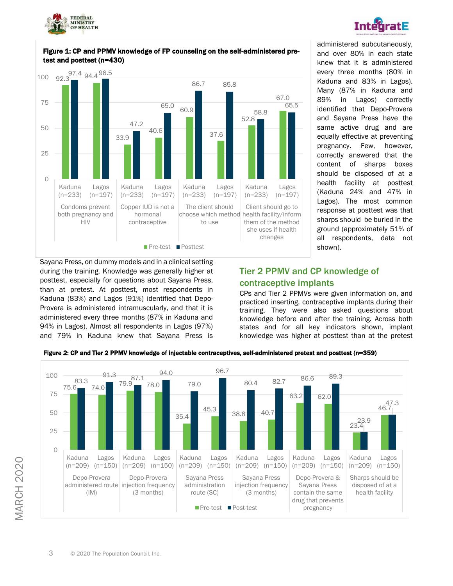



Sayana Press, on dummy models and in a clinical setting during the training. Knowledge was generally higher at posttest, especially for questions about Sayana Press, than at pretest. At posttest, most respondents in Kaduna (83%) and Lagos (91%) identified that Depo-Provera is administered intramuscularly, and that it is administered every three months (87% in Kaduna and 94% in Lagos). Almost all respondents in Lagos (97%) and 79% in Kaduna knew that Sayana Press is





**IntegratE** 

#### Tier 2 PPMV and CP knowledge of contraceptive implants

CPs and Tier 2 PPMVs were given information on, and practiced inserting, contraceptive implants during their training. They were also asked questions about knowledge before and after the training. Across both states and for all key indicators shown, implant knowledge was higher at posttest than at the pretest